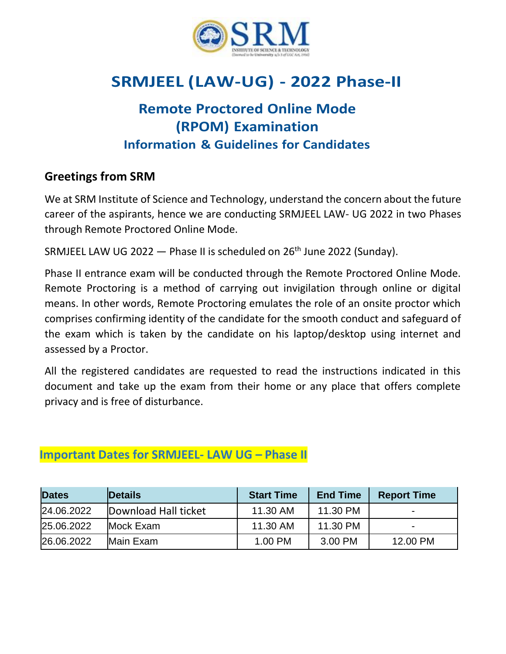

# **SRMJEEL (LAW-UG) - 2022 Phase-II**

# **Remote Proctored Online Mode (RPOM) Examination Information & Guidelines for Candidates**

# **Greetings from SRM**

We at SRM Institute of Science and Technology, understand the concern about the future career of the aspirants, hence we are conducting SRMJEEL LAW- UG 2022 in two Phases through Remote Proctored Online Mode.

SRMJEEL LAW UG 2022  $-$  Phase II is scheduled on 26<sup>th</sup> June 2022 (Sunday).

Phase II entrance exam will be conducted through the Remote Proctored Online Mode. Remote Proctoring is a method of carrying out invigilation through online or digital means. In other words, Remote Proctoring emulates the role of an onsite proctor which comprises confirming identity of the candidate for the smooth conduct and safeguard of the exam which is taken by the candidate on his laptop/desktop using internet and assessed by a Proctor.

All the registered candidates are requested to read the instructions indicated in this document and take up the exam from their home or any place that offers complete privacy and is free of disturbance.

| <b>Dates</b> | <b>Details</b>       | <b>Start Time</b> | <b>End Time</b> | <b>Report Time</b> |  |
|--------------|----------------------|-------------------|-----------------|--------------------|--|
| 24.06.2022   | Download Hall ticket | 11.30 AM          | 11.30 PM        |                    |  |
| 25.06.2022   | Mock Exam            | 11.30 AM          | 11.30 PM        |                    |  |
| 26.06.2022   | Main Exam            | 1.00 PM           | 3.00 PM         | 12.00 PM           |  |

### **Important Dates for SRMJEEL- LAW UG – Phase II**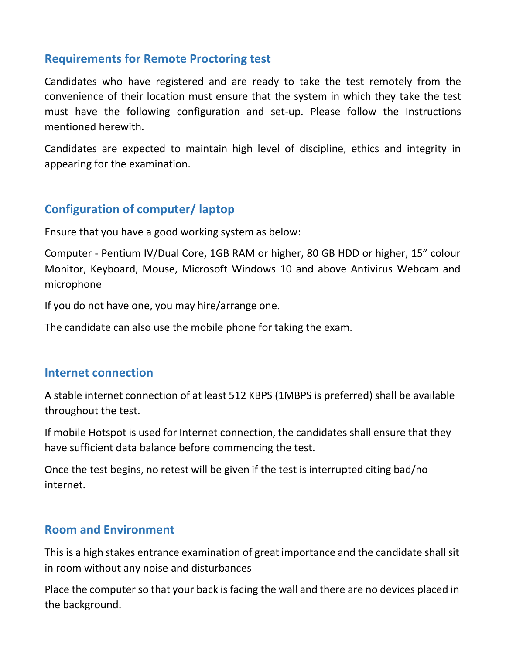### **Requirements for Remote Proctoring test**

Candidates who have registered and are ready to take the test remotely from the convenience of their location must ensure that the system in which they take the test must have the following configuration and set-up. Please follow the Instructions mentioned herewith.

Candidates are expected to maintain high level of discipline, ethics and integrity in appearing for the examination.

# **Configuration of computer/ laptop**

Ensure that you have a good working system as below:

Computer - Pentium IV/Dual Core, 1GB RAM or higher, 80 GB HDD or higher, 15" colour Monitor, Keyboard, Mouse, Microsoft Windows 10 and above Antivirus Webcam and microphone

If you do not have one, you may hire/arrange one.

The candidate can also use the mobile phone for taking the exam.

#### **Internet connection**

A stable internet connection of at least 512 KBPS (1MBPS is preferred) shall be available throughout the test.

If mobile Hotspot is used for Internet connection, the candidates shall ensure that they have sufficient data balance before commencing the test.

Once the test begins, no retest will be given if the test is interrupted citing bad/no internet.

### **Room and Environment**

This is a high stakes entrance examination of great importance and the candidate shall sit in room without any noise and disturbances

Place the computer so that your back is facing the wall and there are no devices placed in the background.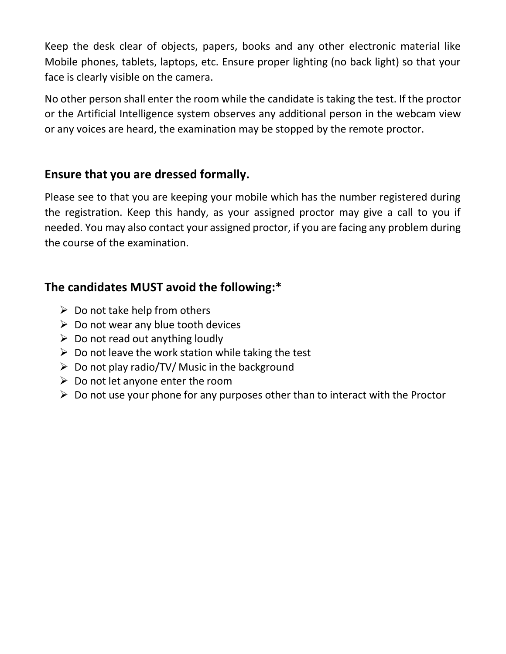Keep the desk clear of objects, papers, books and any other electronic material like Mobile phones, tablets, laptops, etc. Ensure proper lighting (no back light) so that your face is clearly visible on the camera.

No other person shall enter the room while the candidate is taking the test. If the proctor or the Artificial Intelligence system observes any additional person in the webcam view or any voices are heard, the examination may be stopped by the remote proctor.

### **Ensure that you are dressed formally.**

Please see to that you are keeping your mobile which has the number registered during the registration. Keep this handy, as your assigned proctor may give a call to you if needed. You may also contact your assigned proctor, if you are facing any problem during the course of the examination.

# **The candidates MUST avoid the following:\***

- $\triangleright$  Do not take help from others
- $\triangleright$  Do not wear any blue tooth devices
- $\triangleright$  Do not read out anything loudly
- $\triangleright$  Do not leave the work station while taking the test
- $\triangleright$  Do not play radio/TV/ Music in the background
- $\triangleright$  Do not let anyone enter the room
- $\triangleright$  Do not use your phone for any purposes other than to interact with the Proctor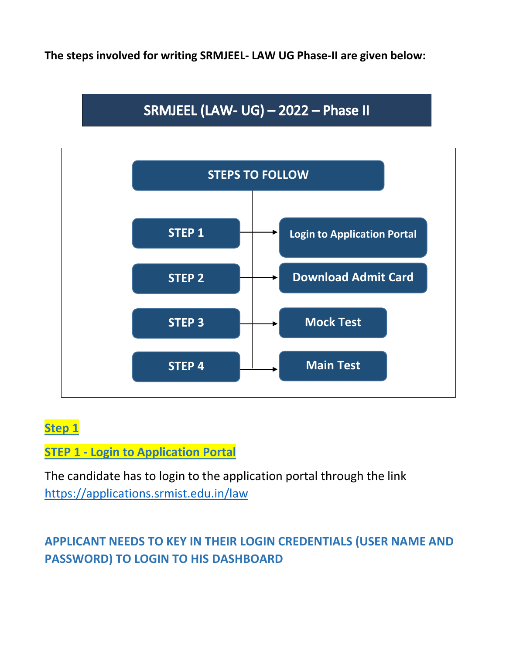**The steps involved for writing SRMJEEL- LAW UG Phase-II are given below:**

# SRMJEEL (LAW- UG) - 2022 - Phase II



# **Step 1**

# **STEP 1 - Login to Application Portal**

The candidate has to login to the application portal through the link <https://applications.srmist.edu.in/law>

# **APPLICANT NEEDS TO KEY IN THEIR LOGIN CREDENTIALS (USER NAME AND PASSWORD) TO LOGIN TO HIS DASHBOARD**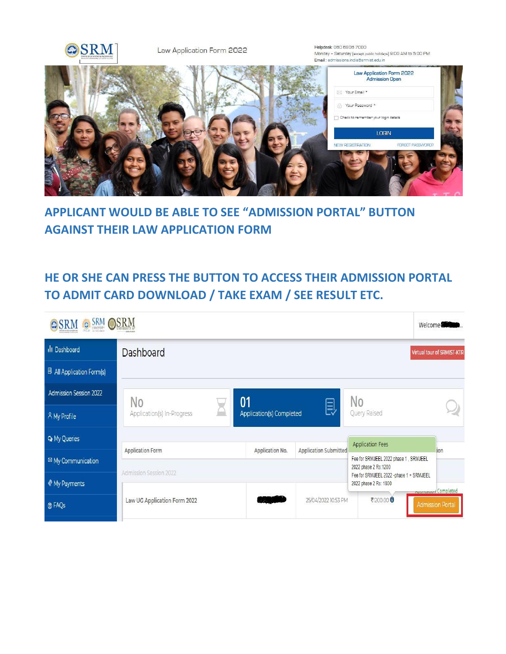

Law Application Form 2022

Helpdesk: 080 6908 7000 Monday - Saturday (except public holidays) 9:00 AM to 5:00 PM Email : admissions.india@srmist.edu.in



# **APPLICANT WOULD BE ABLE TO SEE "ADMISSION PORTAL" BUTTON AGAINST THEIR LAW APPLICATION FORM**

# **HE OR SHE CAN PRESS THE BUTTON TO ACCESS THEIR ADMISSION PORTAL TO ADMIT CARD DOWNLOAD / TAKE EXAM / SEE RESULT ETC.**

| <b>SRM OSRM</b><br>OSRM<br>$\overline{c}$ |                                                              |                            |                     |                                                                  | Welcome                      |
|-------------------------------------------|--------------------------------------------------------------|----------------------------|---------------------|------------------------------------------------------------------|------------------------------|
| <b>Ill</b> Dashboard                      | Dashboard                                                    | Virtual tour of SRMIST-KTR |                     |                                                                  |                              |
| <b>B</b> All Application Form(s)          |                                                              |                            |                     |                                                                  |                              |
| <b>Admission Session 2022</b>             | No                                                           | 01                         |                     | No                                                               |                              |
| A My Profile                              | Application(s) In-Progress                                   | Application(s) Completed   | 回                   | Query Raised                                                     |                              |
| <b>Q</b> My Queries                       |                                                              |                            |                     | <b>Application Fees</b>                                          |                              |
| <sup>⊠</sup> My Communication             | Application Submitted<br>Application No.<br>Application Form |                            |                     | Fee for SRMJEEL 2022 phase 1, SRMJEEL<br>2022 phase 2 Rs:1200    | lion                         |
| My Payments                               | Admission Session 2022                                       |                            |                     | Fee for SRMJEEL 2022 -phase 1 + SRMJEEL<br>2022 phase 2 Rs: 1800 | <b>Engineering Completed</b> |
| <b>OFAQS</b>                              | Law UG Application Form 2022                                 |                            | 25/04/2022 10:53 PM | ₹1200.00 0                                                       | <b>Admission Portal</b>      |
|                                           |                                                              |                            |                     |                                                                  |                              |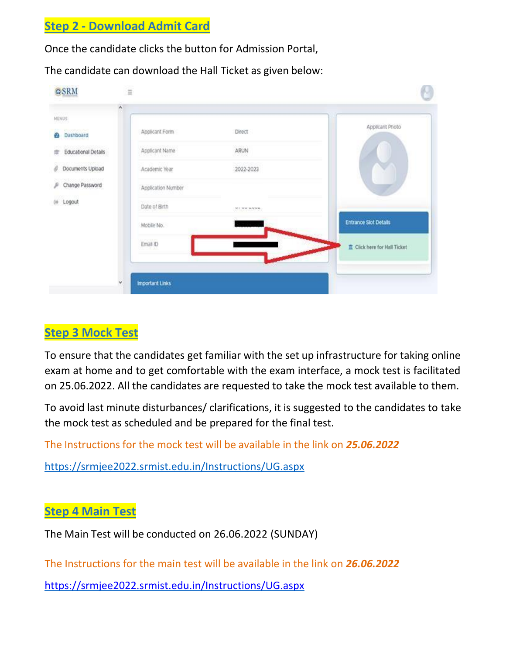### **Step 2 - Download Admit Card**

Once the candidate clicks the button for Admission Portal,

The candidate can download the Hall Ticket as given below:



### **Step 3 Mock Test**

To ensure that the candidates get familiar with the set up infrastructure for taking online exam at home and to get comfortable with the exam interface, a mock test is facilitated on 25.06.2022. All the candidates are requested to take the mock test available to them.

To avoid last minute disturbances/ clarifications, it is suggested to the candidates to take the mock test as scheduled and be prepared for the final test.

The Instructions for the mock test will be available in the link on *25.06.2022*

<https://srmjee2022.srmist.edu.in/Instructions/UG.aspx>

#### **Step 4 Main Test**

The Main Test will be conducted on 26.06.2022 (SUNDAY)

The Instructions for the main test will be available in the link on *26.06.2022* 

<https://srmjee2022.srmist.edu.in/Instructions/UG.aspx>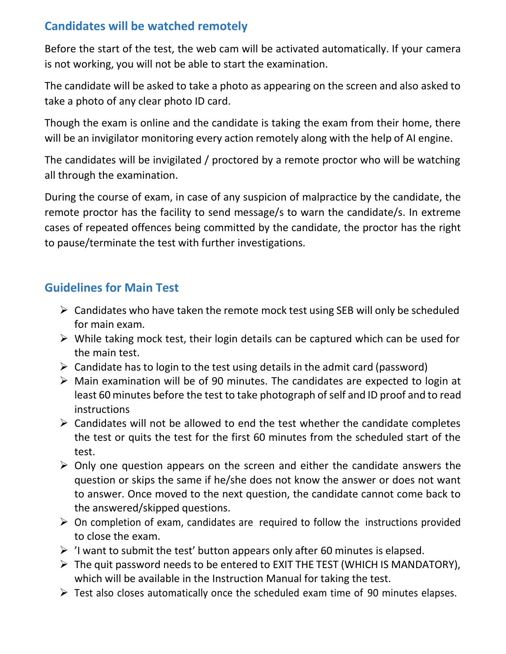# **Candidates will be watched remotely**

Before the start of the test, the web cam will be activated automatically. If your camera is not working, you will not be able to start the examination.

The candidate will be asked to take a photo as appearing on the screen and also asked to take a photo of any clear photo ID card.

Though the exam is online and the candidate is taking the exam from their home, there will be an invigilator monitoring every action remotely along with the help of AI engine.

The candidates will be invigilated / proctored by a remote proctor who will be watching all through the examination.

During the course of exam, in case of any suspicion of malpractice by the candidate, the remote proctor has the facility to send message/s to warn the candidate/s. In extreme cases of repeated offences being committed by the candidate, the proctor has the right to pause/terminate the test with further investigations.

# **Guidelines for Main Test**

- $\triangleright$  Candidates who have taken the remote mock test using SEB will only be scheduled for main exam.
- $\triangleright$  While taking mock test, their login details can be captured which can be used for the main test.
- $\triangleright$  Candidate has to login to the test using details in the admit card (password)
- $\triangleright$  Main examination will be of 90 minutes. The candidates are expected to login at least 60 minutes before the test to take photograph of self and ID proof and to read instructions
- $\triangleright$  Candidates will not be allowed to end the test whether the candidate completes the test or quits the test for the first 60 minutes from the scheduled start of the test.
- $\triangleright$  Only one question appears on the screen and either the candidate answers the question or skips the same if he/she does not know the answer or does not want to answer. Once moved to the next question, the candidate cannot come back to the answered/skipped questions.
- $\triangleright$  On completion of exam, candidates are required to follow the instructions provided to close the exam.
- $\triangleright$  'I want to submit the test' button appears only after 60 minutes is elapsed.
- The quit password needs to be entered to EXIT THE TEST (WHICH IS MANDATORY), which will be available in the Instruction Manual for taking the test.
- $\triangleright$  Test also closes automatically once the scheduled exam time of 90 minutes elapses.